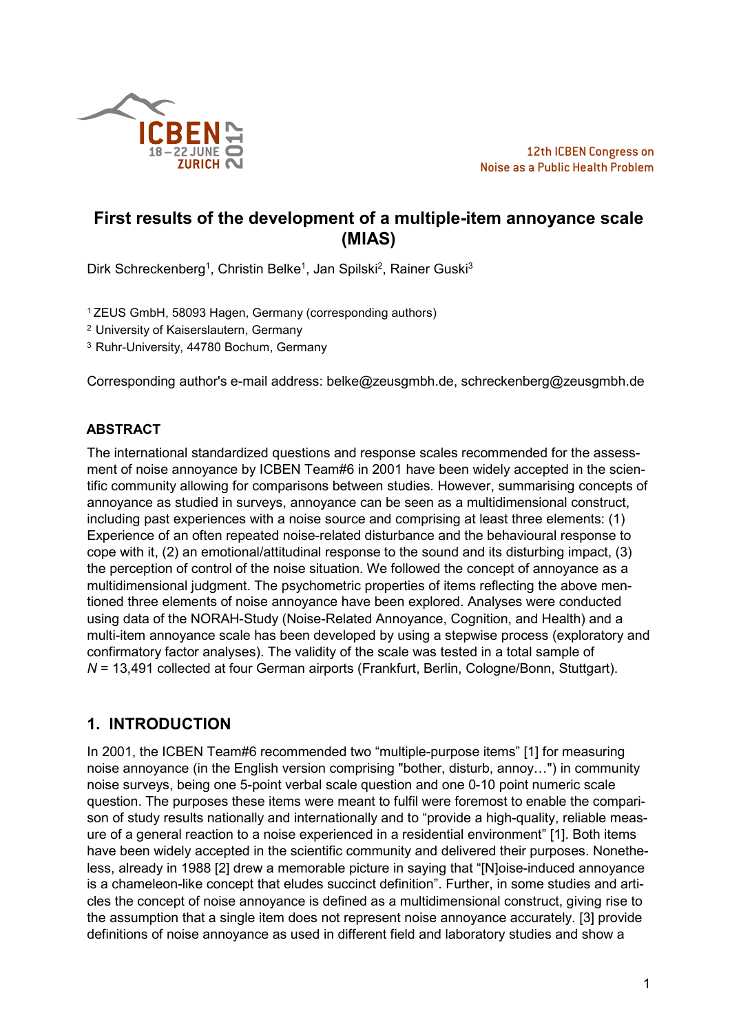

# **First results of the development of a multiple-item annoyance scale (MIAS)**

Dirk Schreckenberg<sup>1</sup>, Christin Belke<sup>1</sup>, Jan Spilski<sup>2</sup>, Rainer Guski<sup>3</sup>

<sup>1</sup>ZEUS GmbH, 58093 Hagen, Germany (corresponding authors)

<sup>2</sup> University of Kaiserslautern, Germany

<sup>3</sup> Ruhr-University, 44780 Bochum, Germany

Corresponding author's e-mail address: belke@zeusgmbh.de, schreckenberg@zeusgmbh.de

### **ABSTRACT**

The international standardized questions and response scales recommended for the assessment of noise annoyance by ICBEN Team#6 in 2001 have been widely accepted in the scientific community allowing for comparisons between studies. However, summarising concepts of annoyance as studied in surveys, annoyance can be seen as a multidimensional construct, including past experiences with a noise source and comprising at least three elements: (1) Experience of an often repeated noise-related disturbance and the behavioural response to cope with it, (2) an emotional/attitudinal response to the sound and its disturbing impact, (3) the perception of control of the noise situation. We followed the concept of annoyance as a multidimensional judgment. The psychometric properties of items reflecting the above mentioned three elements of noise annoyance have been explored. Analyses were conducted using data of the NORAH-Study (Noise-Related Annoyance, Cognition, and Health) and a multi-item annoyance scale has been developed by using a stepwise process (exploratory and confirmatory factor analyses). The validity of the scale was tested in a total sample of *N* = 13,491 collected at four German airports (Frankfurt, Berlin, Cologne/Bonn, Stuttgart).

## **1. INTRODUCTION**

In 2001, the ICBEN Team#6 recommended two "multiple-purpose items" [1] for measuring noise annoyance (in the English version comprising "bother, disturb, annoy...") in community noise surveys, being one 5-point verbal scale question and one 0-10 point numeric scale question. The purposes these items were meant to fulfil were foremost to enable the comparison of study results nationally and internationally and to "provide a high-quality, reliable measure of a general reaction to a noise experienced in a residential environment" [1]. Both items have been widely accepted in the scientific community and delivered their purposes. Nonetheless, already in 1988 [2] drew a memorable picture in saying that "[N]oise-induced annoyance is a chameleon-like concept that eludes succinct definition". Further, in some studies and articles the concept of noise annoyance is defined as a multidimensional construct, giving rise to the assumption that a single item does not represent noise annoyance accurately. [3] provide definitions of noise annoyance as used in different field and laboratory studies and show a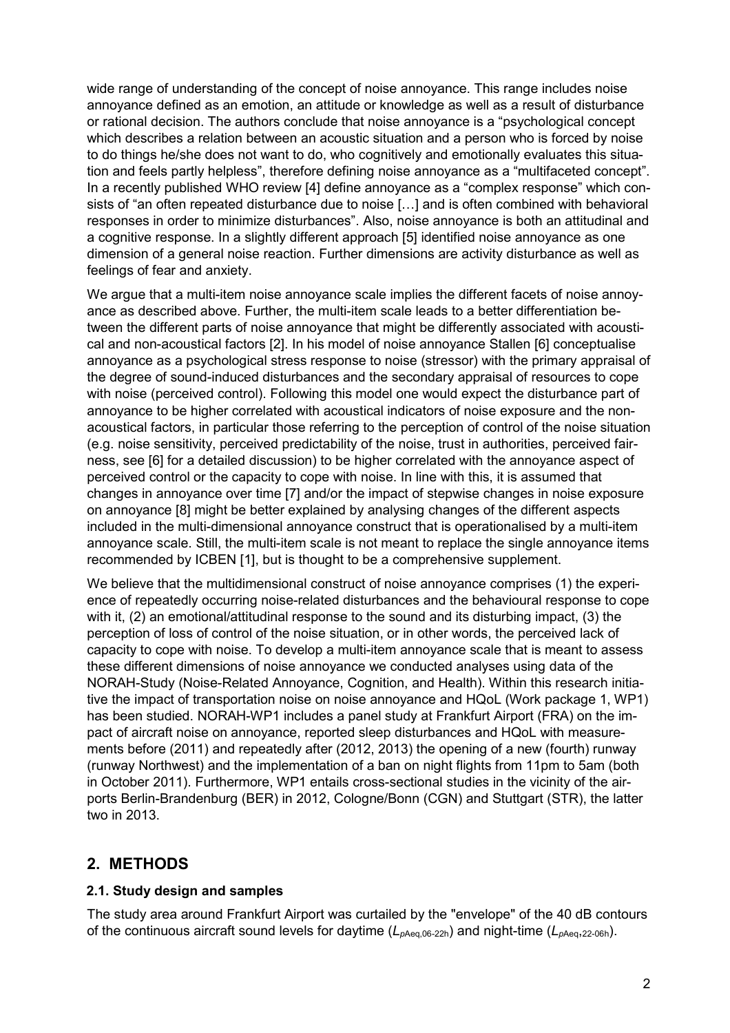wide range of understanding of the concept of noise annoyance. This range includes noise annoyance defined as an emotion, an attitude or knowledge as well as a result of disturbance or rational decision. The authors conclude that noise annoyance is a "psychological concept which describes a relation between an acoustic situation and a person who is forced by noise to do things he/she does not want to do, who cognitively and emotionally evaluates this situation and feels partly helpless", therefore defining noise annoyance as a "multifaceted concept". In a recently published WHO review [4] define annoyance as a "complex response" which consists of "an often repeated disturbance due to noise [...] and is often combined with behavioral responses in order to minimize disturbances". Also, noise annoyance is both an attitudinal and a cognitive response. In a slightly different approach [5] identified noise annoyance as one dimension of a general noise reaction. Further dimensions are activity disturbance as well as feelings of fear and anxiety.

We arque that a multi-item noise annoyance scale implies the different facets of noise annoyance as described above. Further, the multi-item scale leads to a better differentiation between the different parts of noise annoyance that might be differently associated with acoustical and non-acoustical factors [2]. In his model of noise annoyance Stallen [6] conceptualise annoyance as a psychological stress response to noise (stressor) with the primary appraisal of the degree of sound-induced disturbances and the secondary appraisal of resources to cope with noise (perceived control). Following this model one would expect the disturbance part of annoyance to be higher correlated with acoustical indicators of noise exposure and the nonacoustical factors, in particular those referring to the perception of control of the noise situation (e.g. noise sensitivity, perceived predictability of the noise, trust in authorities, perceived fairness, see [6] for a detailed discussion) to be higher correlated with the annoyance aspect of perceived control or the capacity to cope with noise. In line with this, it is assumed that changes in annoyance over time [7] and/or the impact of stepwise changes in noise exposure on annoyance [8] might be better explained by analysing changes of the different aspects included in the multi-dimensional annoyance construct that is operationalised by a multi-item annoyance scale. Still, the multi-item scale is not meant to replace the single annoyance items recommended by ICBEN [1], but is thought to be a comprehensive supplement.

We believe that the multidimensional construct of noise annoyance comprises (1) the experience of repeatedly occurring noise-related disturbances and the behavioural response to cope with it, (2) an emotional/attitudinal response to the sound and its disturbing impact, (3) the perception of loss of control of the noise situation, or in other words, the perceived lack of capacity to cope with noise. To develop a multi-item annoyance scale that is meant to assess these different dimensions of noise annoyance we conducted analyses using data of the NORAH-Study (Noise-Related Annoyance, Cognition, and Health). Within this research initiative the impact of transportation noise on noise annoyance and HQoL (Work package 1, WP1) has been studied. NORAH-WP1 includes a panel study at Frankfurt Airport (FRA) on the impact of aircraft noise on annoyance, reported sleep disturbances and HQoL with measurements before (2011) and repeatedly after (2012, 2013) the opening of a new (fourth) runway (runway Northwest) and the implementation of a ban on night flights from 11pm to 5am (both in October 2011). Furthermore, WP1 entails cross-sectional studies in the vicinity of the airports Berlin-Brandenburg (BER) in 2012, Cologne/Bonn (CGN) and Stuttgart (STR), the latter two in 2013.

## **2. METHODS**

### **2.1. Study design and samples**

The study area around Frankfurt Airport was curtailed by the "envelope" of the 40 dB contours of the continuous aircraft sound levels for daytime (*Lp*Aeq,06-22h) and night-time (*Lp*Aeq,22-06h).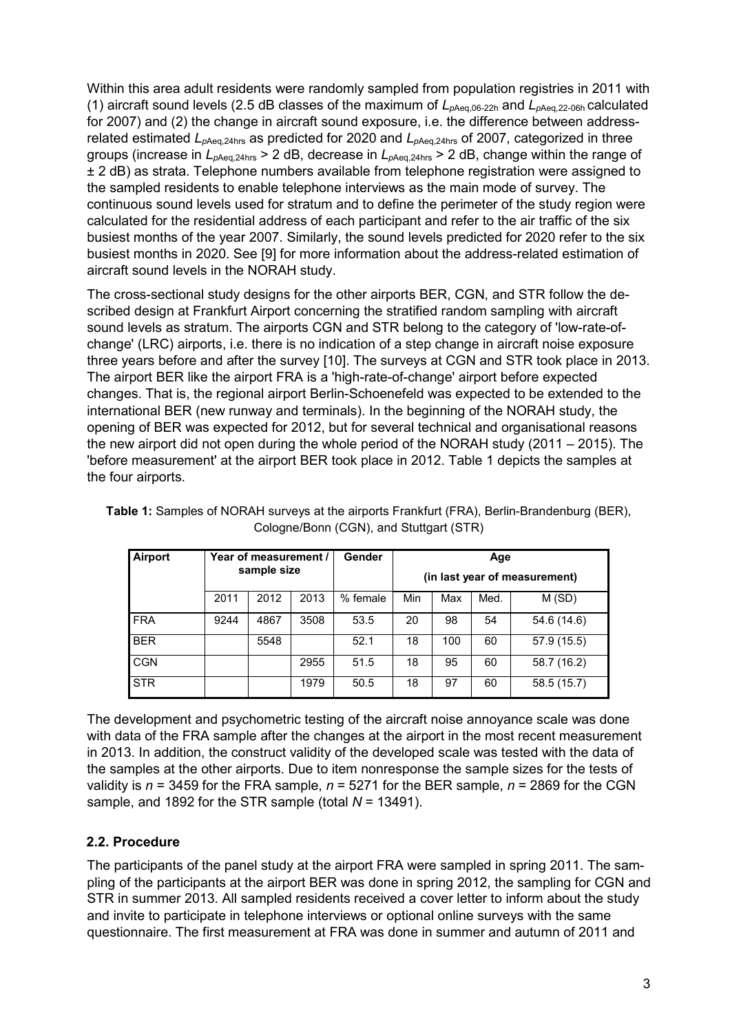Within this area adult residents were randomly sampled from population registries in 2011 with (1) aircraft sound levels (2.5 dB classes of the maximum of *Lp*Aeq,06-22h and *Lp*Aeq,22-06h calculated for 2007) and (2) the change in aircraft sound exposure, i.e. the difference between addressrelated estimated *Lp*Aeq,24hrs as predicted for 2020 and *Lp*Aeq,24hrs of 2007, categorized in three groups (increase in *Lp*Aeq,24hrs > 2 dB, decrease in *Lp*Aeq,24hrs > 2 dB, change within the range of ± 2 dB) as strata. Telephone numbers available from telephone registration were assigned to the sampled residents to enable telephone interviews as the main mode of survey. The continuous sound levels used for stratum and to define the perimeter of the study region were calculated for the residential address of each participant and refer to the air traffic of the six busiest months of the year 2007. Similarly, the sound levels predicted for 2020 refer to the six busiest months in 2020. See [9] for more information about the address-related estimation of aircraft sound levels in the NORAH study.

The cross-sectional study designs for the other airports BER, CGN, and STR follow the described design at Frankfurt Airport concerning the stratified random sampling with aircraft sound levels as stratum. The airports CGN and STR belong to the category of 'low-rate-ofchange' (LRC) airports, i.e. there is no indication of a step change in aircraft noise exposure three years before and after the survey [10]. The surveys at CGN and STR took place in 2013. The airport BER like the airport FRA is a 'high-rate-of-change' airport before expected changes. That is, the regional airport Berlin-Schoenefeld was expected to be extended to the international BER (new runway and terminals). In the beginning of the NORAH study, the opening of BER was expected for 2012, but for several technical and organisational reasons the new airport did not open during the whole period of the NORAH study (2011 – 2015). The 'before measurement' at the airport BER took place in 2012. Table 1 depicts the samples at the four airports.

| Airport    |      | Year of measurement / |      | Gender   | Age |                               |      |             |
|------------|------|-----------------------|------|----------|-----|-------------------------------|------|-------------|
|            |      | sample size           |      |          |     | (in last year of measurement) |      |             |
|            | 2011 | 2012                  | 2013 | % female | Min | Max                           | Med. | M (SD)      |
| <b>FRA</b> | 9244 | 4867                  | 3508 | 53.5     | 20  | 98                            | 54   | 54.6 (14.6) |
| <b>BER</b> |      | 5548                  |      | 52.1     | 18  | 100                           | 60   | 57.9 (15.5) |
| <b>CGN</b> |      |                       | 2955 | 51.5     | 18  | 95                            | 60   | 58.7 (16.2) |
| <b>STR</b> |      |                       | 1979 | 50.5     | 18  | 97                            | 60   | 58.5 (15.7) |

**Table 1:** Samples of NORAH surveys at the airports Frankfurt (FRA), Berlin-Brandenburg (BER), Cologne/Bonn (CGN), and Stuttgart (STR)

The development and psychometric testing of the aircraft noise annoyance scale was done with data of the FRA sample after the changes at the airport in the most recent measurement in 2013. In addition, the construct validity of the developed scale was tested with the data of the samples at the other airports. Due to item nonresponse the sample sizes for the tests of validity is *n* = 3459 for the FRA sample, *n* = 5271 for the BER sample, *n* = 2869 for the CGN sample, and 1892 for the STR sample (total *N* = 13491).

### **2.2. Procedure**

The participants of the panel study at the airport FRA were sampled in spring 2011. The sampling of the participants at the airport BER was done in spring 2012, the sampling for CGN and STR in summer 2013. All sampled residents received a cover letter to inform about the study and invite to participate in telephone interviews or optional online surveys with the same questionnaire. The first measurement at FRA was done in summer and autumn of 2011 and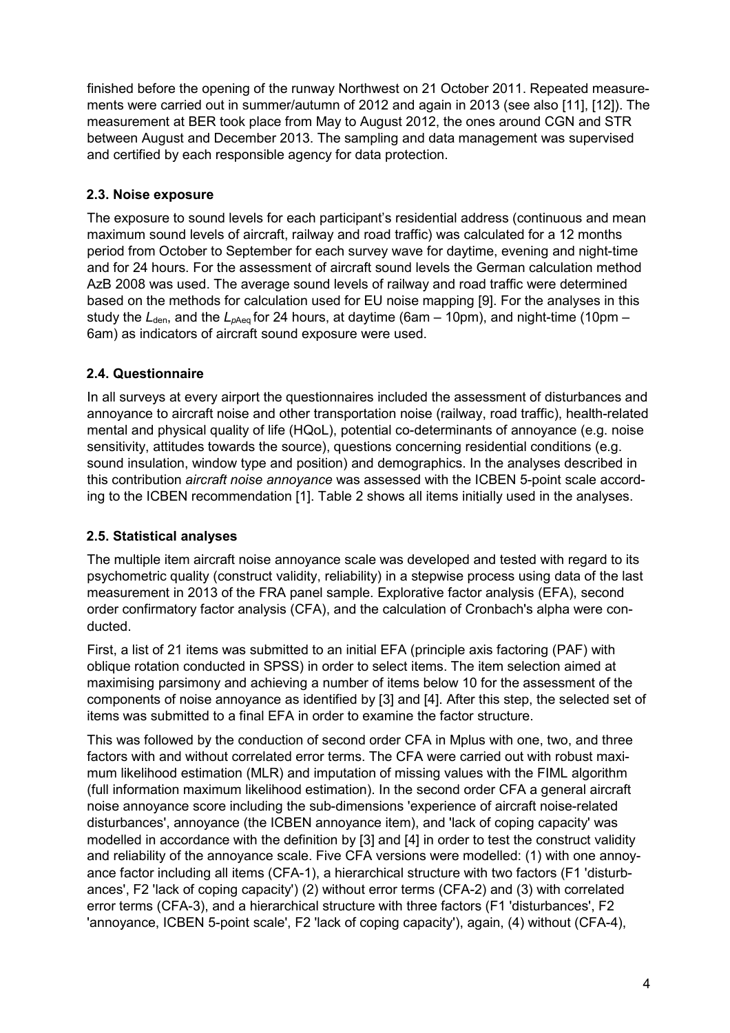finished before the opening of the runway Northwest on 21 October 2011. Repeated measurements were carried out in summer/autumn of 2012 and again in 2013 (see also [11], [12]). The measurement at BER took place from May to August 2012, the ones around CGN and STR between August and December 2013. The sampling and data management was supervised and certified by each responsible agency for data protection.

## **2.3. Noise exposure**

The exposure to sound levels for each participant's residential address (continuous and mean maximum sound levels of aircraft, railway and road traffic) was calculated for a 12 months period from October to September for each survey wave for daytime, evening and night-time and for 24 hours. For the assessment of aircraft sound levels the German calculation method AzB 2008 was used. The average sound levels of railway and road traffic were determined based on the methods for calculation used for EU noise mapping [9]. For the analyses in this study the  $L_{den}$ , and the  $L_{pA}$ <sub>eg</sub> for 24 hours, at daytime (6am – 10pm), and night-time (10pm – 6am) as indicators of aircraft sound exposure were used.

### **2.4. Questionnaire**

In all surveys at every airport the questionnaires included the assessment of disturbances and annoyance to aircraft noise and other transportation noise (railway, road traffic), health-related mental and physical quality of life (HQoL), potential co-determinants of annoyance (e.g. noise sensitivity, attitudes towards the source), questions concerning residential conditions (e.g. sound insulation, window type and position) and demographics. In the analyses described in this contribution *aircraft noise annoyance* was assessed with the ICBEN 5-point scale according to the ICBEN recommendation [1]. Table 2 shows all items initially used in the analyses.

## **2.5. Statistical analyses**

The multiple item aircraft noise annoyance scale was developed and tested with regard to its psychometric quality (construct validity, reliability) in a stepwise process using data of the last measurement in 2013 of the FRA panel sample. Explorative factor analysis (EFA), second order confirmatory factor analysis (CFA), and the calculation of Cronbach's alpha were conducted.

First, a list of 21 items was submitted to an initial EFA (principle axis factoring (PAF) with oblique rotation conducted in SPSS) in order to select items. The item selection aimed at maximising parsimony and achieving a number of items below 10 for the assessment of the components of noise annoyance as identified by [3] and [4]. After this step, the selected set of items was submitted to a final EFA in order to examine the factor structure.

This was followed by the conduction of second order CFA in Mplus with one, two, and three factors with and without correlated error terms. The CFA were carried out with robust maximum likelihood estimation (MLR) and imputation of missing values with the FIML algorithm (full information maximum likelihood estimation). In the second order CFA a general aircraft noise annoyance score including the sub-dimensions 'experience of aircraft noise-related disturbances', annoyance (the ICBEN annoyance item), and 'lack of coping capacity' was modelled in accordance with the definition by [3] and [4] in order to test the construct validity and reliability of the annoyance scale. Five CFA versions were modelled: (1) with one annoyance factor including all items (CFA-1), a hierarchical structure with two factors (F1 'disturbances', F2 'lack of coping capacity') (2) without error terms (CFA-2) and (3) with correlated error terms (CFA-3), and a hierarchical structure with three factors (F1 'disturbances', F2 'annoyance, ICBEN 5-point scale', F2 'lack of coping capacity'), again, (4) without (CFA-4),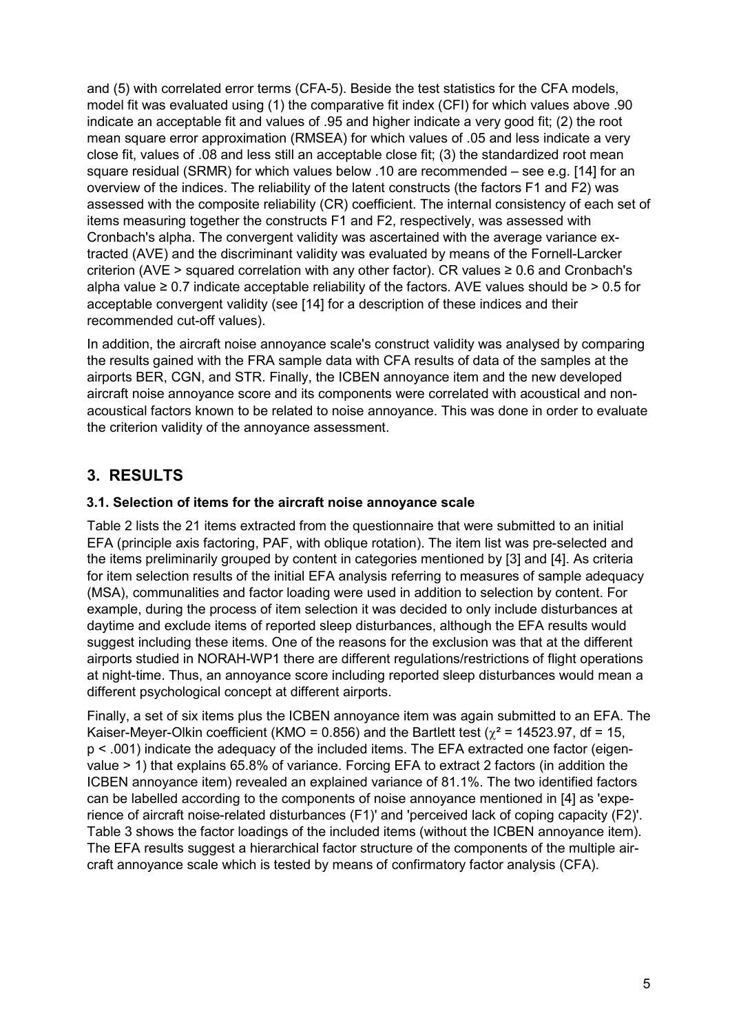and (5) with correlated error terms (CFA-5). Beside the test statistics for the CFA models, model fit was evaluated using (1) the comparative fit index (CFI) for which values above .90 indicate an acceptable fit and values of .95 and higher indicate a very good fit; (2) the root mean square error approximation (RMSEA) for which values of .05 and less indicate a very close fit, values of .08 and less still an acceptable close fit; (3) the standardized root mean square residual (SRMR) for which values below .10 are recommended – see e.g. [14] for an overview of the indices. The reliability of the latent constructs (the factors F1 and F2) was assessed with the composite reliability (CR) coefficient. The internal consistency of each set of items measuring together the constructs F1 and F2, respectively, was assessed with Cronbach's alpha. The convergent validity was ascertained with the average variance extracted (AVE) and the discriminant validity was evaluated by means of the Fornell-Larcker criterion (AVE > squared correlation with any other factor). CR values  $\geq 0.6$  and Cronbach's alpha value  $\geq 0.7$  indicate acceptable reliability of the factors. AVE values should be  $> 0.5$  for acceptable convergent validity (see [14] for a description of these indices and their recommended cut-off values).

In addition, the aircraft noise annoyance scale's construct validity was analysed by comparing the results gained with the FRA sample data with CFA results of data of the samples at the airports BER, CGN, and STR. Finally, the ICBEN annoyance item and the new developed aircraft noise annoyance score and its components were correlated with acoustical and nonacoustical factors known to be related to noise annoyance. This was done in order to evaluate the criterion validity of the annoyance assessment.

# **3. RESULTS**

### **3.1. Selection of items for the aircraft noise annoyance scale**

Table 2 lists the 21 items extracted from the questionnaire that were submitted to an initial EFA (principle axis factoring, PAF, with oblique rotation). The item list was pre-selected and the items preliminarily grouped by content in categories mentioned by [3] and [4]. As criteria for item selection results of the initial EFA analysis referring to measures of sample adequacy (MSA), communalities and factor loading were used in addition to selection by content. For example, during the process of item selection it was decided to only include disturbances at daytime and exclude items of reported sleep disturbances, although the EFA results would suggest including these items. One of the reasons for the exclusion was that at the different airports studied in NORAH-WP1 there are different regulations/restrictions of flight operations at night-time. Thus, an annoyance score including reported sleep disturbances would mean a different psychological concept at different airports.

Finally, a set of six items plus the ICBEN annoyance item was again submitted to an EFA. The Kaiser-Meyer-Olkin coefficient (KMO = 0.856) and the Bartlett test ( $\gamma^2$  = 14523.97, df = 15, p < .001) indicate the adequacy of the included items. The EFA extracted one factor (eigenvalue > 1) that explains 65.8% of variance. Forcing EFA to extract 2 factors (in addition the ICBEN annoyance item) revealed an explained variance of 81.1%. The two identified factors can be labelled according to the components of noise annoyance mentioned in [4] as 'experience of aircraft noise-related disturbances (F1)' and 'perceived lack of coping capacity (F2)'. Table 3 shows the factor loadings of the included items (without the ICBEN annoyance item). The EFA results suggest a hierarchical factor structure of the components of the multiple aircraft annoyance scale which is tested by means of confirmatory factor analysis (CFA).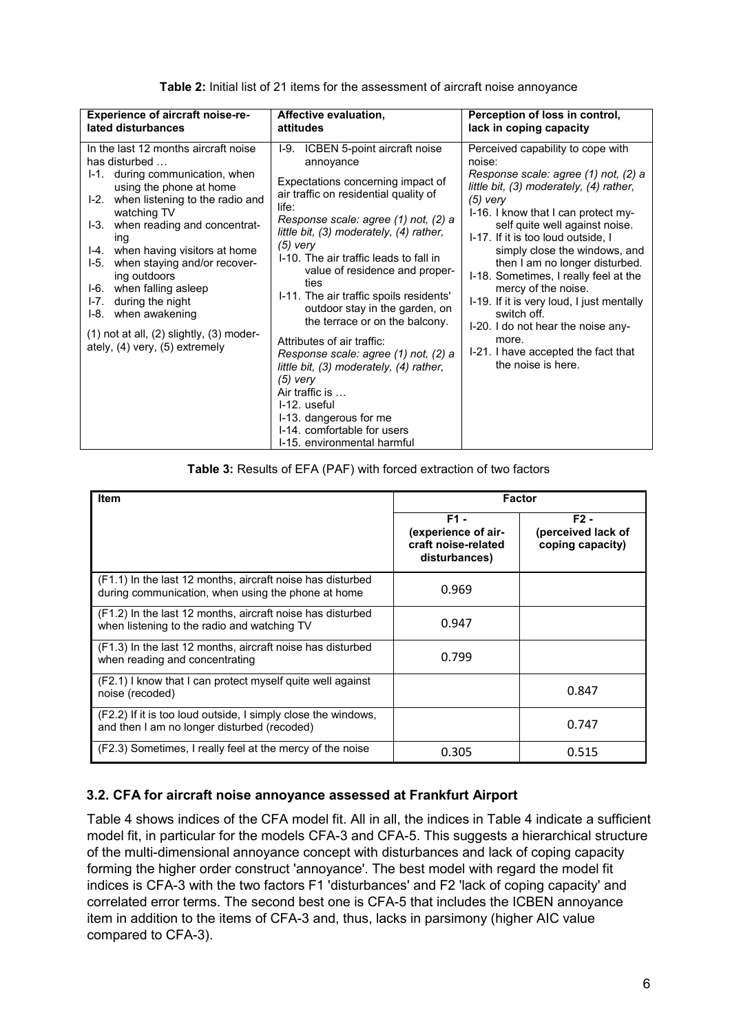| <b>Experience of aircraft noise-re-</b><br>lated disturbances                                                                                                                                                                                                                                                                                                                                                                                                                                             | Affective evaluation,<br>attitudes                                                                                                                                                                                                                                                                                                                                                                                                                                                                                                                                                                                                                                                                 | Perception of loss in control,<br>lack in coping capacity                                                                                                                                                                                                                                                                                                                                                                                                                                                                                                              |  |  |
|-----------------------------------------------------------------------------------------------------------------------------------------------------------------------------------------------------------------------------------------------------------------------------------------------------------------------------------------------------------------------------------------------------------------------------------------------------------------------------------------------------------|----------------------------------------------------------------------------------------------------------------------------------------------------------------------------------------------------------------------------------------------------------------------------------------------------------------------------------------------------------------------------------------------------------------------------------------------------------------------------------------------------------------------------------------------------------------------------------------------------------------------------------------------------------------------------------------------------|------------------------------------------------------------------------------------------------------------------------------------------------------------------------------------------------------------------------------------------------------------------------------------------------------------------------------------------------------------------------------------------------------------------------------------------------------------------------------------------------------------------------------------------------------------------------|--|--|
|                                                                                                                                                                                                                                                                                                                                                                                                                                                                                                           |                                                                                                                                                                                                                                                                                                                                                                                                                                                                                                                                                                                                                                                                                                    |                                                                                                                                                                                                                                                                                                                                                                                                                                                                                                                                                                        |  |  |
| In the last 12 months aircraft noise<br>has disturbed<br>I-1. during communication, when<br>using the phone at home<br>when listening to the radio and<br>$1-2.$<br>watching TV<br>when reading and concentrat-<br>I-3.<br>ing<br>when having visitors at home<br>I-4.<br>when staying and/or recover-<br>I-5.<br>ing outdoors<br>when falling asleep<br>I-6.<br>during the night<br>$1-7.$<br>when awakening<br>I-8.<br>$(1)$ not at all, $(2)$ slightly, $(3)$ moder-<br>ately, (4) very, (5) extremely | I-9. ICBEN 5-point aircraft noise<br>annoyance<br>Expectations concerning impact of<br>air traffic on residential quality of<br>life:<br>Response scale: agree (1) not, (2) a<br>little bit, (3) moderately, (4) rather,<br>$(5)$ very<br>I-10. The air traffic leads to fall in<br>value of residence and proper-<br>ties<br>I-11. The air traffic spoils residents'<br>outdoor stay in the garden, on<br>the terrace or on the balcony.<br>Attributes of air traffic:<br>Response scale: agree (1) not, (2) a<br>little bit, (3) moderately, (4) rather,<br>$(5)$ very<br>Air traffic is<br>I-12. useful<br>I-13. dangerous for me<br>I-14. comfortable for users<br>I-15, environmental harmful | Perceived capability to cope with<br>noise:<br>Response scale: agree (1) not, (2) a<br>little bit, (3) moderately, (4) rather,<br>$(5)$ very<br>I-16. I know that I can protect my-<br>self quite well against noise.<br>I-17. If it is too loud outside, I<br>simply close the windows, and<br>then I am no longer disturbed.<br>I-18. Sometimes, I really feel at the<br>mercy of the noise.<br>I-19. If it is very loud, I just mentally<br>switch off.<br>I-20. I do not hear the noise any-<br>more.<br>I-21. I have accepted the fact that<br>the noise is here. |  |  |

**Table 2:** Initial list of 21 items for the assessment of aircraft noise annoyance

**Table 3:** Results of EFA (PAF) with forced extraction of two factors

| <b>Item</b>                                                                                                      |                                                                     | <b>Factor</b>                                    |
|------------------------------------------------------------------------------------------------------------------|---------------------------------------------------------------------|--------------------------------------------------|
|                                                                                                                  | F1 -<br>(experience of air-<br>craft noise-related<br>disturbances) | $F2 -$<br>(perceived lack of<br>coping capacity) |
| (F1.1) In the last 12 months, aircraft noise has disturbed<br>during communication, when using the phone at home | 0.969                                                               |                                                  |
| (F1.2) In the last 12 months, aircraft noise has disturbed<br>when listening to the radio and watching TV        | 0.947                                                               |                                                  |
| (F1.3) In the last 12 months, aircraft noise has disturbed<br>when reading and concentrating                     | 0.799                                                               |                                                  |
| (F2.1) I know that I can protect myself quite well against<br>noise (recoded)                                    |                                                                     | 0.847                                            |
| (F2.2) If it is too loud outside, I simply close the windows,<br>and then I am no longer disturbed (recoded)     |                                                                     | 0.747                                            |
| (F2.3) Sometimes, I really feel at the mercy of the noise                                                        | 0.305                                                               | 0.515                                            |

### **3.2. CFA for aircraft noise annoyance assessed at Frankfurt Airport**

Table 4 shows indices of the CFA model fit. All in all, the indices in Table 4 indicate a sufficient model fit, in particular for the models CFA-3 and CFA-5. This suggests a hierarchical structure of the multi-dimensional annoyance concept with disturbances and lack of coping capacity forming the higher order construct 'annoyance'. The best model with regard the model fit indices is CFA-3 with the two factors F1 'disturbances' and F2 'lack of coping capacity' and correlated error terms. The second best one is CFA-5 that includes the ICBEN annoyance item in addition to the items of CFA-3 and, thus, lacks in parsimony (higher AIC value compared to CFA-3).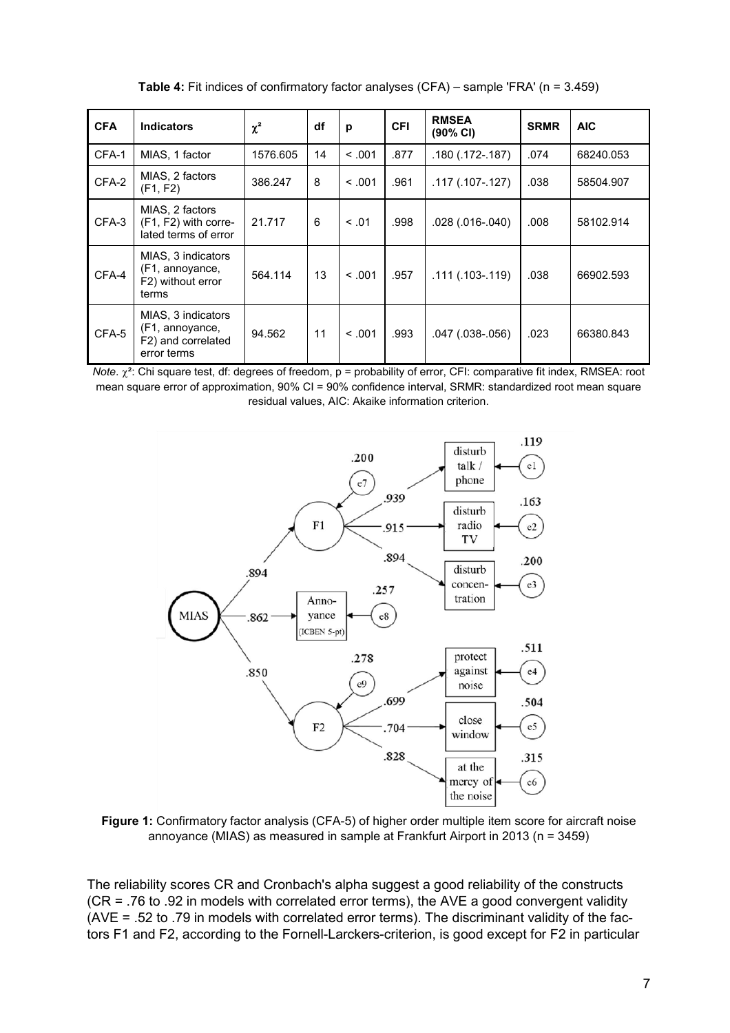**Table 4:** Fit indices of confirmatory factor analyses (CFA) – sample 'FRA' (n = 3.459)

| <b>CFA</b> | <b>Indicators</b>                                                          | $\chi^2$ | df | p       | <b>CFI</b> | <b>RMSEA</b><br>$(90\% \text{ Cl})$ | <b>SRMR</b> | AIC       |
|------------|----------------------------------------------------------------------------|----------|----|---------|------------|-------------------------------------|-------------|-----------|
| CFA-1      | MIAS, 1 factor                                                             | 1576.605 | 14 | < 0.01  | .877       | .180 (.172-.187)                    | .074        | 68240.053 |
| CFA-2      | MIAS, 2 factors<br>(F1, F2)                                                | 386.247  | 8  | < 0.001 | .961       | .117 (.107-.127)                    | .038        | 58504.907 |
| CFA-3      | MIAS, 2 factors<br>(F1, F2) with corre-<br>lated terms of error            | 21.717   | 6  | < 0.01  | .998       | .028 (.016-.040)                    | .008        | 58102.914 |
| CFA-4      | MIAS, 3 indicators<br>(F1, annoyance,<br>F2) without error<br>terms        | 564.114  | 13 | < 0.01  | .957       | $.111(.103-.119)$                   | .038        | 66902.593 |
| CFA-5      | MIAS, 3 indicators<br>(F1, annoyance,<br>F2) and correlated<br>error terms | 94.562   | 11 | < 0.01  | .993       | .047 (.038-.056)                    | .023        | 66380.843 |

*Note*.  $χ<sup>2</sup>$ : Chi square test, df: degrees of freedom, p = probability of error, CFI: comparative fit index, RMSEA: root mean square error of approximation, 90% CI = 90% confidence interval, SRMR: standardized root mean square residual values, AIC: Akaike information criterion.



**Figure 1:** Confirmatory factor analysis (CFA-5) of higher order multiple item score for aircraft noise annoyance (MIAS) as measured in sample at Frankfurt Airport in 2013 (n = 3459)

The reliability scores CR and Cronbach's alpha suggest a good reliability of the constructs (CR = .76 to .92 in models with correlated error terms), the AVE a good convergent validity (AVE = .52 to .79 in models with correlated error terms). The discriminant validity of the factors F1 and F2, according to the Fornell-Larckers-criterion, is good except for F2 in particular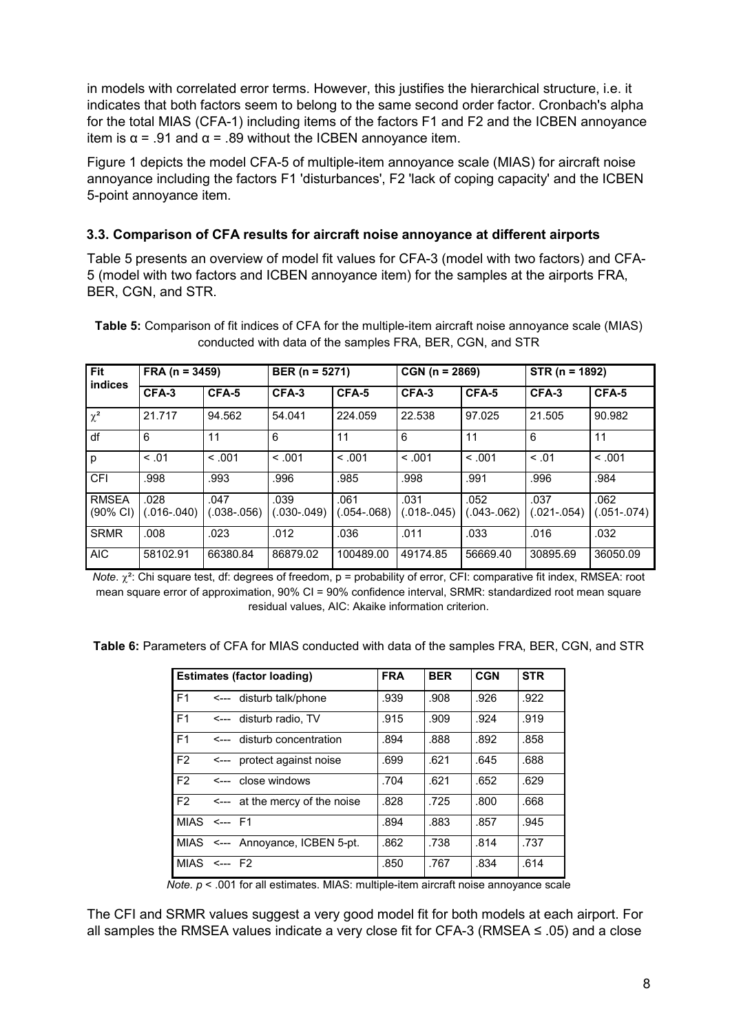in models with correlated error terms. However, this justifies the hierarchical structure, i.e. it indicates that both factors seem to belong to the same second order factor. Cronbach's alpha for the total MIAS (CFA-1) including items of the factors F1 and F2 and the ICBEN annoyance item is  $\alpha$  = .91 and  $\alpha$  = .89 without the ICBEN annoyance item.

Figure 1 depicts the model CFA-5 of multiple-item annoyance scale (MIAS) for aircraft noise annoyance including the factors F1 'disturbances', F2 'lack of coping capacity' and the ICBEN 5-point annoyance item.

## **3.3. Comparison of CFA results for aircraft noise annoyance at different airports**

Table 5 presents an overview of model fit values for CFA-3 (model with two factors) and CFA-5 (model with two factors and ICBEN annoyance item) for the samples at the airports FRA, BER, CGN, and STR.

| Fit                                 | $FRA (n = 3459)$    |                       | BER ( $n = 5271$ )  |                       | $CGN (n = 2869)$      |                        | $STR (n = 1892)$    |                     |
|-------------------------------------|---------------------|-----------------------|---------------------|-----------------------|-----------------------|------------------------|---------------------|---------------------|
| <b>indices</b>                      | CFA-3               | CFA-5                 | CFA-3               | CFA-5                 | CFA-3                 | CFA-5                  | CFA-3               | CFA-5               |
| $\chi^2$                            | 21.717              | 94.562                | 54.041              | 224.059               | 22.538                | 97.025                 | 21.505              | 90.982              |
| df                                  | 6                   | 11                    | 6                   | 11                    | 6                     | 11                     | 6                   | 11                  |
| p                                   | < 0.01              | < 0.01                | < 0.01              | < 0.01                | < 0.01                | < 0.01                 | < 0.01              | < 0.01              |
| CFI                                 | .998                | .993                  | .996                | .985                  | .998                  | .991                   | .996                | .984                |
| <b>RMSEA</b><br>$(90\% \text{ Cl})$ | .028<br>(.016-.040) | .047<br>$.038 - .056$ | .039<br>(.030-.049) | .061<br>$0.054 - 068$ | .031<br>$(.018-.045)$ | .052<br>$.043 - .062)$ | .037<br>(.021-.054) | .062<br>(.051-.074) |
| <b>SRMR</b>                         | .008                | .023                  | .012                | .036                  | .011                  | .033                   | .016                | .032                |
| <b>AIC</b>                          | 58102.91            | 66380.84              | 86879.02            | 100489.00             | 49174.85              | 56669.40               | 30895.69            | 36050.09            |

**Table 5:** Comparison of fit indices of CFA for the multiple-item aircraft noise annoyance scale (MIAS) conducted with data of the samples FRA, BER, CGN, and STR

*Note*. χ²: Chi square test, df: degrees of freedom, p = probability of error, CFI: comparative fit index, RMSEA: root mean square error of approximation, 90% CI = 90% confidence interval, SRMR: standardized root mean square residual values, AIC: Akaike information criterion.

**Table 6:** Parameters of CFA for MIAS conducted with data of the samples FRA, BER, CGN, and STR

| <b>Estimates (factor loading)</b> |  |                                  | <b>FRA</b> | <b>BER</b> | <b>CGN</b> | <b>STR</b> |
|-----------------------------------|--|----------------------------------|------------|------------|------------|------------|
| F1                                |  | <--- disturb talk/phone          | .939       | .908       | .926       | .922       |
| F1                                |  | <--- disturb radio. TV           | .915       | .909       | .924       | .919       |
| F <sub>1</sub>                    |  | <--- disturb concentration       | .894       | .888       | .892       | .858       |
| F <sub>2</sub>                    |  | <--- protect against noise       | .699       | .621       | .645       | .688       |
| F <sub>2</sub>                    |  | <--- close windows               | .704       | .621       | .652       | .629       |
| F <sub>2</sub>                    |  | <--- at the mercy of the noise   | .828       | .725       | .800       | .668       |
| $MIAS$ <--- $F1$                  |  |                                  | .894       | .883       | .857       | .945       |
|                                   |  | MIAS <--- Annovance, ICBEN 5-pt. | .862       | .738       | .814       | .737       |
| $MIAS$ <--- $F2$                  |  |                                  | .850       | .767       | .834       | .614       |

*Note. p* < .001 for all estimates. MIAS: multiple-item aircraft noise annoyance scale

The CFI and SRMR values suggest a very good model fit for both models at each airport. For all samples the RMSEA values indicate a very close fit for CFA-3 (RMSEA  $\leq$  .05) and a close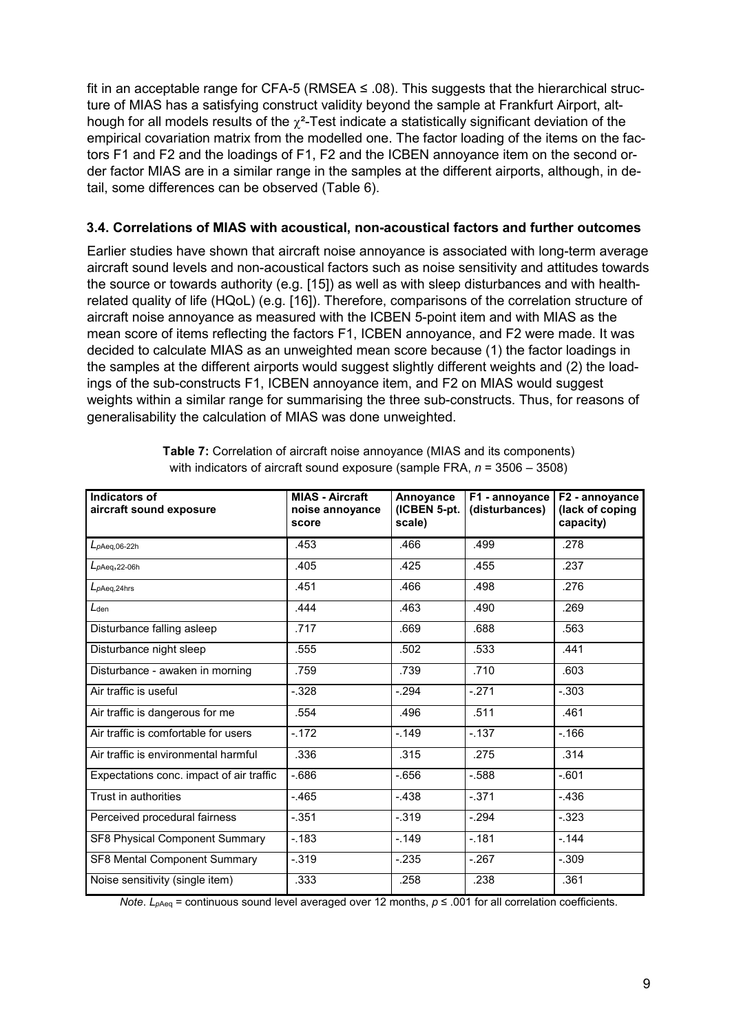fit in an acceptable range for CFA-5 (RMSEA  $\leq$  .08). This suggests that the hierarchical structure of MIAS has a satisfying construct validity beyond the sample at Frankfurt Airport, although for all models results of the  $\chi^2$ -Test indicate a statistically significant deviation of the empirical covariation matrix from the modelled one. The factor loading of the items on the factors F1 and F2 and the loadings of F1, F2 and the ICBEN annoyance item on the second order factor MIAS are in a similar range in the samples at the different airports, although, in detail, some differences can be observed (Table 6).

#### **3.4. Correlations of MIAS with acoustical, non-acoustical factors and further outcomes**

Earlier studies have shown that aircraft noise annoyance is associated with long-term average aircraft sound levels and non-acoustical factors such as noise sensitivity and attitudes towards the source or towards authority (e.g. [15]) as well as with sleep disturbances and with healthrelated quality of life (HQoL) (e.g. [16]). Therefore, comparisons of the correlation structure of aircraft noise annoyance as measured with the ICBEN 5-point item and with MIAS as the mean score of items reflecting the factors F1, ICBEN annoyance, and F2 were made. It was decided to calculate MIAS as an unweighted mean score because (1) the factor loadings in the samples at the different airports would suggest slightly different weights and (2) the loadings of the sub-constructs F1, ICBEN annoyance item, and F2 on MIAS would suggest weights within a similar range for summarising the three sub-constructs. Thus, for reasons of generalisability the calculation of MIAS was done unweighted.

| Indicators of<br>aircraft sound exposure | <b>MIAS - Aircraft</b><br>noise annoyance<br>score | Annoyance<br>(ICBEN 5-pt.<br>scale) | F1 - annoyance<br>(disturbances) | F2 - annoyance<br>(lack of coping<br>capacity) |
|------------------------------------------|----------------------------------------------------|-------------------------------------|----------------------------------|------------------------------------------------|
| $L_{pAeq,06-22h}$                        | .453                                               | .466                                | .499                             | .278                                           |
| $L_{pAeq,22-06h}$                        | .405                                               | .425                                | .455                             | .237                                           |
| $L_{pAeq,24hrs}$                         | .451                                               | .466                                | .498                             | .276                                           |
| $L_{den}$                                | .444                                               | .463                                | .490                             | .269                                           |
| Disturbance falling asleep               | .717                                               | .669                                | .688                             | .563                                           |
| Disturbance night sleep                  | .555                                               | .502                                | .533                             | .441                                           |
| Disturbance - awaken in morning          | .759                                               | .739                                | .710                             | .603                                           |
| Air traffic is useful                    | $-.328$                                            | $-.294$                             | $-.271$                          | $-.303$                                        |
| Air traffic is dangerous for me          | .554                                               | .496                                | .511                             | .461                                           |
| Air traffic is comfortable for users     | $-.172$                                            | $-0.149$                            | $-137$                           | $-.166$                                        |
| Air traffic is environmental harmful     | .336                                               | .315                                | .275                             | .314                                           |
| Expectations conc. impact of air traffic | $-686$                                             | $-656$                              | $-588$                           | $-.601$                                        |
| Trust in authorities                     | $-465$                                             | $-.438$                             | $-371$                           | $-436$                                         |
| Perceived procedural fairness            | $-.351$                                            | $-.319$                             | $-.294$                          | $-.323$                                        |
| SF8 Physical Component Summary           | $-183$                                             | $-149$                              | $-181$                           | $-144$                                         |
| SF8 Mental Component Summary             | $-.319$                                            | $-.235$                             | $-267$                           | $-.309$                                        |
| Noise sensitivity (single item)          | .333                                               | .258                                | .238                             | .361                                           |

**Table 7:** Correlation of aircraft noise annoyance (MIAS and its components) with indicators of aircraft sound exposure (sample FRA, *n* = 3506 – 3508)

*Note*. *L<sub>pAeq</sub>* = continuous sound level averaged over 12 months, *p* ≤ .001 for all correlation coefficients.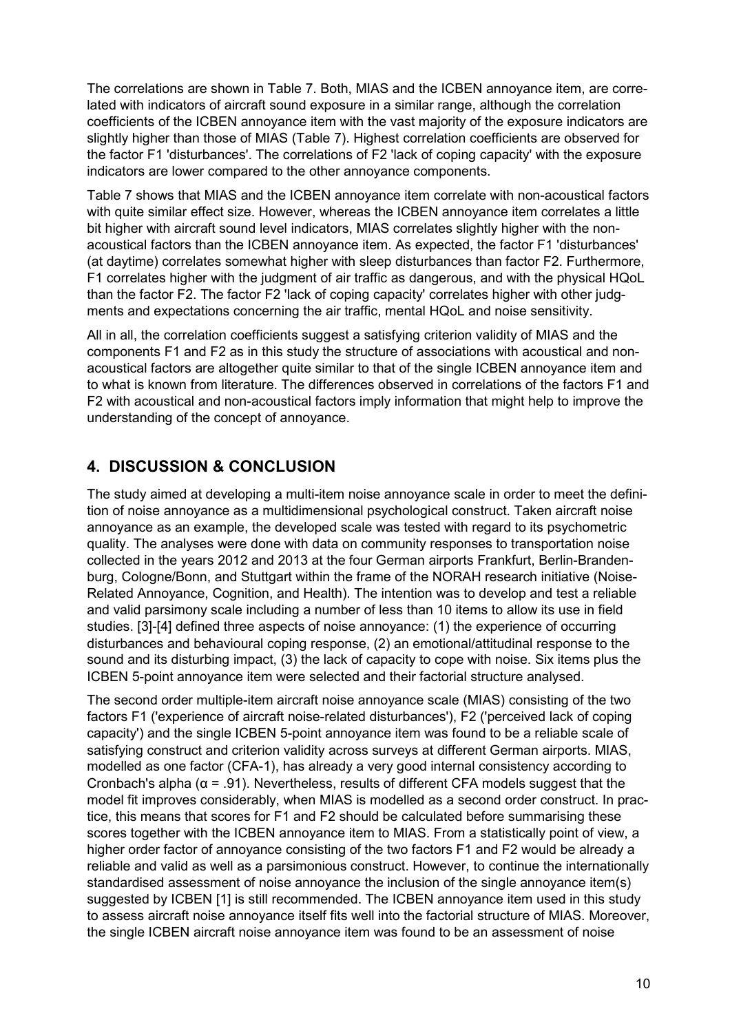The correlations are shown in Table 7. Both, MIAS and the ICBEN annoyance item, are correlated with indicators of aircraft sound exposure in a similar range, although the correlation coefficients of the ICBEN annoyance item with the vast majority of the exposure indicators are slightly higher than those of MIAS (Table 7). Highest correlation coefficients are observed for the factor F1 'disturbances'. The correlations of F2 'lack of coping capacity' with the exposure indicators are lower compared to the other annoyance components.

Table 7 shows that MIAS and the ICBEN annoyance item correlate with non-acoustical factors with quite similar effect size. However, whereas the ICBEN annoyance item correlates a little bit higher with aircraft sound level indicators, MIAS correlates slightly higher with the nonacoustical factors than the ICBEN annoyance item. As expected, the factor F1 'disturbances' (at daytime) correlates somewhat higher with sleep disturbances than factor F2. Furthermore, F1 correlates higher with the judgment of air traffic as dangerous, and with the physical HQoL than the factor F2. The factor F2 'lack of coping capacity' correlates higher with other judgments and expectations concerning the air traffic, mental HQoL and noise sensitivity.

All in all, the correlation coefficients suggest a satisfying criterion validity of MIAS and the components F1 and F2 as in this study the structure of associations with acoustical and nonacoustical factors are altogether quite similar to that of the single ICBEN annoyance item and to what is known from literature. The differences observed in correlations of the factors F1 and F2 with acoustical and non-acoustical factors imply information that might help to improve the understanding of the concept of annoyance.

# **4. DISCUSSION & CONCLUSION**

The study aimed at developing a multi-item noise annoyance scale in order to meet the definition of noise annoyance as a multidimensional psychological construct. Taken aircraft noise annoyance as an example, the developed scale was tested with regard to its psychometric quality. The analyses were done with data on community responses to transportation noise collected in the years 2012 and 2013 at the four German airports Frankfurt, Berlin-Brandenburg, Cologne/Bonn, and Stuttgart within the frame of the NORAH research initiative (Noise-Related Annoyance, Cognition, and Health). The intention was to develop and test a reliable and valid parsimony scale including a number of less than 10 items to allow its use in field studies. [3]-[4] defined three aspects of noise annoyance: (1) the experience of occurring disturbances and behavioural coping response, (2) an emotional/attitudinal response to the sound and its disturbing impact, (3) the lack of capacity to cope with noise. Six items plus the ICBEN 5-point annoyance item were selected and their factorial structure analysed.

The second order multiple-item aircraft noise annoyance scale (MIAS) consisting of the two factors F1 ('experience of aircraft noise-related disturbances'), F2 ('perceived lack of coping capacity') and the single ICBEN 5-point annoyance item was found to be a reliable scale of satisfying construct and criterion validity across surveys at different German airports. MIAS, modelled as one factor (CFA-1), has already a very good internal consistency according to Cronbach's alpha ( $\alpha$  = .91). Nevertheless, results of different CFA models suggest that the model fit improves considerably, when MIAS is modelled as a second order construct. In practice, this means that scores for F1 and F2 should be calculated before summarising these scores together with the ICBEN annoyance item to MIAS. From a statistically point of view, a higher order factor of annoyance consisting of the two factors F1 and F2 would be already a reliable and valid as well as a parsimonious construct. However, to continue the internationally standardised assessment of noise annoyance the inclusion of the single annoyance item(s) suggested by ICBEN [1] is still recommended. The ICBEN annoyance item used in this study to assess aircraft noise annoyance itself fits well into the factorial structure of MIAS. Moreover, the single ICBEN aircraft noise annoyance item was found to be an assessment of noise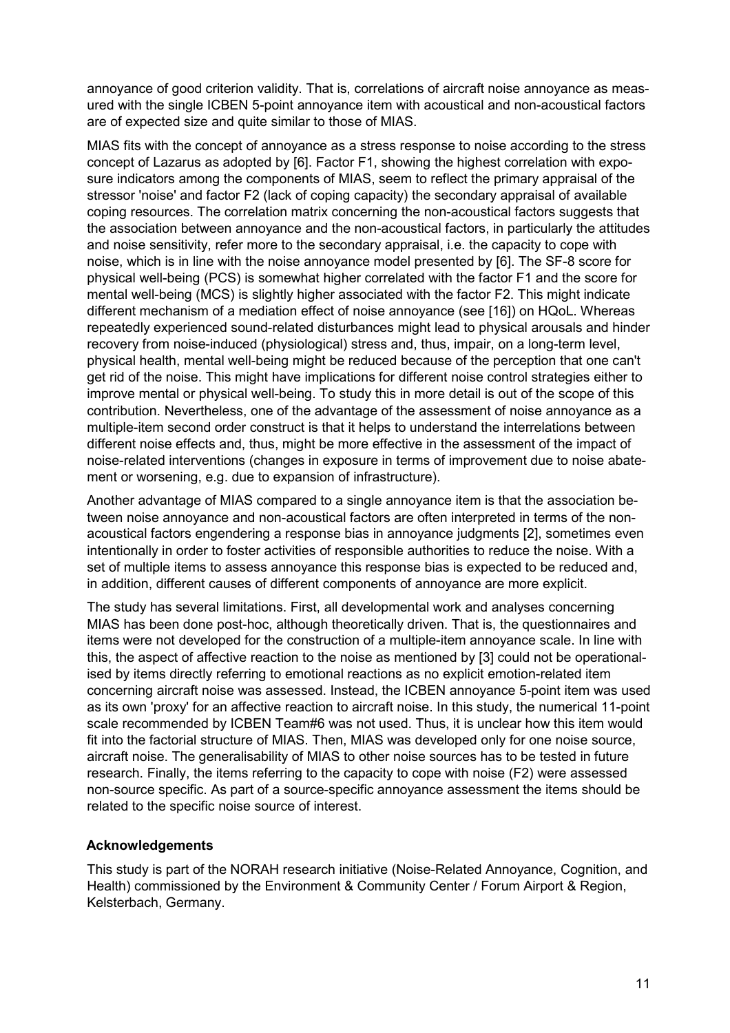annoyance of good criterion validity. That is, correlations of aircraft noise annoyance as measured with the single ICBEN 5-point annoyance item with acoustical and non-acoustical factors are of expected size and quite similar to those of MIAS.

MIAS fits with the concept of annoyance as a stress response to noise according to the stress concept of Lazarus as adopted by [6]. Factor F1, showing the highest correlation with exposure indicators among the components of MIAS, seem to reflect the primary appraisal of the stressor 'noise' and factor F2 (lack of coping capacity) the secondary appraisal of available coping resources. The correlation matrix concerning the non-acoustical factors suggests that the association between annoyance and the non-acoustical factors, in particularly the attitudes and noise sensitivity, refer more to the secondary appraisal, i.e. the capacity to cope with noise, which is in line with the noise annoyance model presented by [6]. The SF-8 score for physical well-being (PCS) is somewhat higher correlated with the factor F1 and the score for mental well-being (MCS) is slightly higher associated with the factor F2. This might indicate different mechanism of a mediation effect of noise annoyance (see [16]) on HQoL. Whereas repeatedly experienced sound-related disturbances might lead to physical arousals and hinder recovery from noise-induced (physiological) stress and, thus, impair, on a long-term level, physical health, mental well-being might be reduced because of the perception that one can't get rid of the noise. This might have implications for different noise control strategies either to improve mental or physical well-being. To study this in more detail is out of the scope of this contribution. Nevertheless, one of the advantage of the assessment of noise annoyance as a multiple-item second order construct is that it helps to understand the interrelations between different noise effects and, thus, might be more effective in the assessment of the impact of noise-related interventions (changes in exposure in terms of improvement due to noise abatement or worsening, e.g. due to expansion of infrastructure).

Another advantage of MIAS compared to a single annoyance item is that the association between noise annoyance and non-acoustical factors are often interpreted in terms of the nonacoustical factors engendering a response bias in annoyance judgments [2], sometimes even intentionally in order to foster activities of responsible authorities to reduce the noise. With a set of multiple items to assess annoyance this response bias is expected to be reduced and, in addition, different causes of different components of annoyance are more explicit.

The study has several limitations. First, all developmental work and analyses concerning MIAS has been done post-hoc, although theoretically driven. That is, the questionnaires and items were not developed for the construction of a multiple-item annoyance scale. In line with this, the aspect of affective reaction to the noise as mentioned by [3] could not be operationalised by items directly referring to emotional reactions as no explicit emotion-related item concerning aircraft noise was assessed. Instead, the ICBEN annoyance 5-point item was used as its own 'proxy' for an affective reaction to aircraft noise. In this study, the numerical 11-point scale recommended by ICBEN Team#6 was not used. Thus, it is unclear how this item would fit into the factorial structure of MIAS. Then, MIAS was developed only for one noise source, aircraft noise. The generalisability of MIAS to other noise sources has to be tested in future research. Finally, the items referring to the capacity to cope with noise (F2) were assessed non-source specific. As part of a source-specific annoyance assessment the items should be related to the specific noise source of interest.

### **Acknowledgements**

This study is part of the NORAH research initiative (Noise-Related Annoyance, Cognition, and Health) commissioned by the Environment & Community Center / Forum Airport & Region, Kelsterbach, Germany.